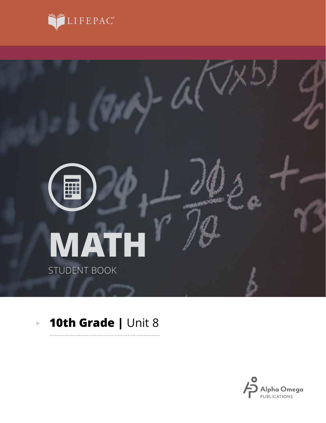



 $1.1.1$ 

#### **10th Grade |** Unit 8 $\overline{\mathbb{P}}$

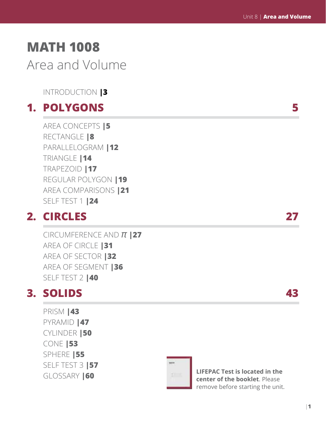# **MATH 1008**

Area and Volume

INTRODUCTION **|3**

## **1. POLYGONS 5**

AREA CONCEPTS **|5** RECTANGLE **|8** PARALLELOGRAM **|12** TRIANGLE **|14** TRAPEZOID **|17** REGULAR POLYGON **|19** AREA COMPARISONS **|21** SELF TEST 1 **|24**

## **2. CIRCLES 27**

CIRCUMFERENCE AND *π* **|27** AREA OF CIRCLE **|31** AREA OF SECTOR **|32** AREA OF SEGMENT **|36** SELF TEST 2 **|40**

## **3. SOLIDS 43**

PRISM **|43** PYRAMID **|47** CYLINDER **|50** CONE **|53** SPHERE **|55** SELF TEST 3 **|57** GLOSSARY **|60**



**LIFEPAC Test is located in the center of the booklet**. Please remove before starting the unit.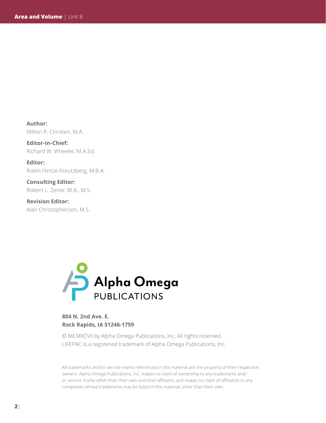**Author:**  Milton R. Christen, M.A.

**Editor-in-Chief:**  Richard W. Wheeler, M.A.Ed.

**Editor:**  Robin Hintze Kreutzberg, M.B.A.

**Consulting Editor:**  Robert L. Zenor, M.A., M.S.

**Revision Editor:**  Alan Christopherson, M.S.



#### **804 N. 2nd Ave. E. Rock Rapids, IA 51246-1759**

© MCMXCVII by Alpha Omega Publications, Inc. All rights reserved. LIFEPAC is a registered trademark of Alpha Omega Publications, Inc.

All trademarks and/or service marks referenced in this material are the property of their respective owners. Alpha Omega Publications, Inc. makes no claim of ownership to any trademarks and/ or service marks other than their own and their affiliates, and makes no claim of affiliation to any companies whose trademarks may be listed in this material, other than their own.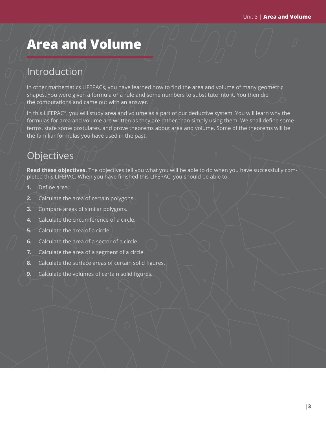# **Area and Volume**

### Introduction

In other mathematics LlFEPACs, you have learned how to find the area and volume of many geometric shapes. You were given a formula or a rule and some numbers to substitute into it. You then did the computations and came out with an answer.

In this LIFEPAC®, you will study area and volume as a part of our deductive system. You will learn why the formulas for area and volume are written as they are rather than simply using them. We shall define some terms, state some postulates, and prove theorems about area and volume. Some of the theorems will be the familiar formulas you have used in the past.

## **Objectives**

**Read these objectives.** The objectives tell you what you will be able to do when you have successfully completed this LIFEPAC. When you have finished this LIFEPAC, you should be able to:

- **1.** Define area.
- **2.** Calculate the area of certain polygons.
- **3.** Compare areas of similar polygons.
- **4.** Calculate the circumference of a circle.
- **5.** Calculate the area of a circle.
- **6.** Calculate the area of a sector of a circle.
- **7.** Calculate the area of a segment of a circle.
- **8.** Calculate the surface areas of certain solid figures.
- **9.** Calculate the volumes of certain solid figures.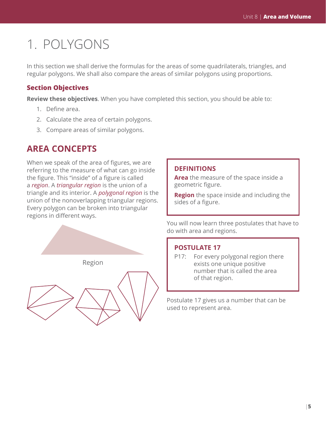# 1. POLYGONS

In this section we shall derive the formulas for the areas of some quadrilaterals, triangles, and regular polygons. We shall also compare the areas of similar polygons using proportions.

#### **Section Objectives**

**Review these objectives**. When you have completed this section, you should be able to:

- 1. Define area.
- 2. Calculate the area of certain polygons.
- 3. Compare areas of similar polygons.

### **AREA CONCEPTS**

When we speak of the area of figures, we are referring to the measure of what can go inside the figure. This "inside" of a figure is called a *region*. A *triangular region* is the union of a triangle and its interior. A *polygonal region* is the union of the nonoverlapping triangular regions. Every polygon can be broken into triangular regions in different ways.



#### **DEFINITIONS**

**Area** the measure of the space inside a geometric figure.

**Region** the space inside and including the sides of a figure.

You will now learn three postulates that have to do with area and regions.

#### **POSTULATE 17**

P17: For every polygonal region there exists one unique positive number that is called the area of that region.

Postulate 17 gives us a number that can be used to represent area.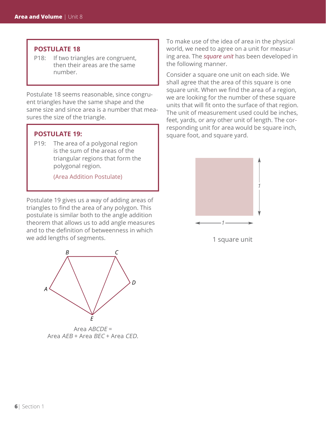#### **POSTULATE 18**

P18: If two triangles are congruent, then their areas are the same number.

Postulate 18 seems reasonable, since congruent triangles have the same shape and the same size and since area is a number that measures the size of the triangle.

#### **POSTULATE 19:**

P19: The area of a polygonal region is the sum of the areas of the triangular regions that form the polygonal region.

(Area Addition Postulate)

Postulate 19 gives us a way of adding areas of triangles to find the area of any polygon. This postulate is similar both to the angle addition theorem that allows us to add angle measures and to the definition of betweenness in which we add lengths of segments.



Area  $ABCDF =$ Area AEB + Area BEC + Area CED.

To make use of the idea of area in the physical world, we need to agree on a unit for measuring area. The *square unit* has been developed in the following manner.

Consider a square one unit on each side. We shall agree that the area of this square is one square unit. When we find the area of a region, we are looking for the number of these square units that will fit onto the surface of that region. The unit of measurement used could be inches, feet, yards, or any other unit of length. The corresponding unit for area would be square inch, square foot, and square yard.



1 square unit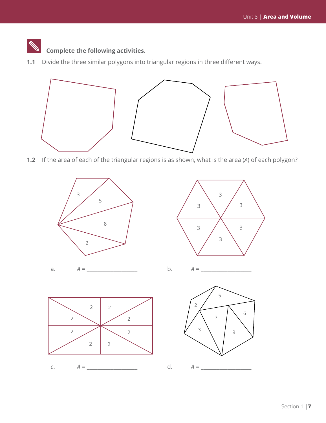

#### **Complete the following activities.**

**1.1** Divide the three similar polygons into triangular regions in three different ways.



**1.2** If the area of each of the triangular regions is as shown, what is the area (*A*) of each polygon?







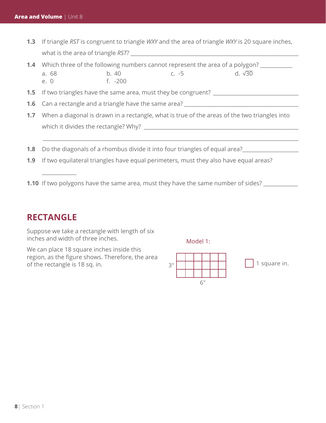| <b>1.3</b> If triangle RST is congruent to triangle WXY and the area of triangle WXY is 20 square inches, |  |
|-----------------------------------------------------------------------------------------------------------|--|
| what is the area of triangle RST?                                                                         |  |

| <b>1.4</b> Which three of the following numbers cannot represent the area of a polygon? |         |         |        |
|-----------------------------------------------------------------------------------------|---------|---------|--------|
| a. 68                                                                                   | h. 40   | $c. -5$ | d. √30 |
| e. 0                                                                                    | f. -200 |         |        |

**1.5** If two triangles have the same area, must they be congruent? \_\_\_\_\_\_\_\_\_\_\_\_\_\_\_\_\_\_\_\_

**1.6** Can a rectangle and a triangle have the same area? \_\_\_\_\_\_\_\_\_\_\_\_\_\_\_\_\_\_\_\_\_\_\_\_

**1.7** When a diagonal is drawn in a rectangle, what is true of the areas of the two triangles into which it divides the rectangle? Why? \_\_\_\_\_\_\_\_\_\_\_\_\_\_\_\_\_\_\_\_\_\_\_\_\_\_\_\_\_\_\_\_\_\_\_\_\_\_\_\_\_\_\_\_\_\_\_\_\_\_\_\_\_\_\_\_\_\_

 $\_$  ,  $\_$  ,  $\_$  ,  $\_$  ,  $\_$  ,  $\_$  ,  $\_$  ,  $\_$  ,  $\_$  ,  $\_$  ,  $\_$  ,  $\_$  ,  $\_$  ,  $\_$  ,  $\_$  ,  $\_$  ,  $\_$  ,  $\_$  ,  $\_$  ,  $\_$  ,  $\_$  ,  $\_$  ,  $\_$  ,  $\_$  ,  $\_$  ,  $\_$  ,  $\_$  ,  $\_$  ,  $\_$  ,  $\_$  ,  $\_$  ,  $\_$  ,  $\_$  ,  $\_$  ,  $\_$  ,  $\_$  ,  $\_$  ,

- **1.8** Do the diagonals of a rhombus divide it into four triangles of equal area?\_\_\_\_\_\_\_\_\_\_\_\_\_\_\_\_\_\_\_\_
- **1.9** If two equilateral triangles have equal perimeters, must they also have equal areas?
- **1.10** If two polygons have the same area, must they have the same number of sides? \_\_\_\_\_\_\_\_\_\_

### **RECTANGLE**

\_\_\_\_\_\_\_\_\_\_\_\_\_

Suppose we take a rectangle with length of six inches and width of three inches.

We can place 18 square inches inside this region, as the figure shows. Therefore, the area of the rectangle is 18 sq. in.

Model 1:

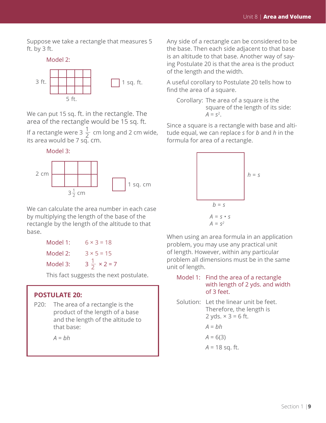Suppose we take a rectangle that measures 5 ft. by 3 ft.



We can put 15 sq. ft. in the rectangle. The area of the rectangle would be 15 sq. ft.

If a rectangle were 3  $\frac{1}{2}$  cm long and 2 cm wide, its area would be 7 sq. cm.

Model 3:



We can calculate the area number in each case by multiplying the length of the base of the rectangle by the length of the altitude to that base.

> Model 1:  $6 \times 3 = 18$ Model 2:  $3 \times 5 = 15$ Model 3:  $3\frac{1}{2} \times 2 = 7$

This fact suggests the next postulate.

#### **POSTULATE 20:**

P20: The area of a rectangle is the product of the length of a base and the length of the altitude to that base:

*A* = *bh*

Any side of a rectangle can be considered to be the base. Then each side adjacent to that base is an altitude to that base. Another way of saying Postulate 20 is that the area is the product of the length and the width.

A useful corollary to Postulate 20 tells how to find the area of a square.

Corollary: The area of a square is the square of the length of its side: 
$$
A = s^2
$$
.

Since a square is a rectangle with base and altitude equal, we can replace *s* for *b* and *h* in the formula for area of a rectangle.



When using an area formula in an application problem, you may use any practical unit of length. However, within any particular problem all dimensions must be in the same unit of length.

Model 1: Find the area of a rectangle with length of 2 yds. and width of 3 feet.

Solution: Let the linear unit be feet. Therefore, the length is 2 yds.  $\times$  3 = 6 ft.

*A* = *bh*

 $A = 6(3)$ 

$$
A = 18 \text{ sq. ft.}
$$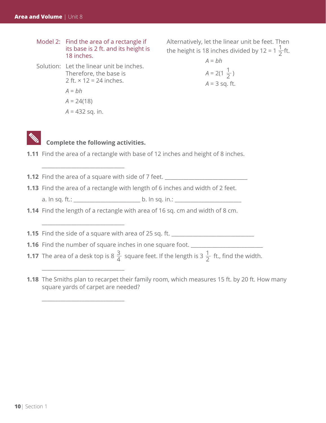#### Model 2: Find the area of a rectangle if its base is 2 ft. and its height is 18 inches.

Alternatively, let the linear unit be feet. Then the height is 18 inches divided by 12 = 1  $\frac{1}{2}$ ft.

Solution: Let the linear unit be inches. Therefore, the base is 2 ft.  $\times$  12 = 24 inches.

> *A* = *bh*  $A = 24(18)$ *A* = 432 sq. in.

 *A* = *bh*  $A = 2(1 \frac{1}{2})$ *A* = 3 sq. ft.



**Complete the following activities.**

\_\_\_\_\_\_\_\_\_\_\_\_\_\_\_\_\_\_\_\_\_\_\_\_\_\_\_\_\_\_\_

\_\_\_\_\_\_\_\_\_\_\_\_\_\_\_\_\_\_\_\_\_\_\_\_\_\_\_\_\_\_\_

\_\_\_\_\_\_\_\_\_\_\_\_\_\_\_\_\_\_\_\_\_\_\_\_\_\_\_\_\_\_\_

\_\_\_\_\_\_\_\_\_\_\_\_\_\_\_\_\_\_\_\_\_\_\_\_\_\_\_\_\_\_\_

- **1.11** Find the area of a rectangle with base of 12 inches and height of 8 inches.
- **1.12** Find the area of a square with side of 7 feet.
- **1.13** Find the area of a rectangle with length of 6 inches and width of 2 feet.
	- a. In sq. ft.:  $\Box$  b. In sq. in.:
- **1.14** Find the length of a rectangle with area of 16 sq. cm and width of 8 cm.

**1.15** Find the side of a square with area of 25 sq. ft.

**1.16** Find the number of square inches in one square foot.

- **1.17** The area of a desk top is 8  $\frac{3}{4}$  square feet. If the length is 3  $\frac{1}{2}$  ft., find the width.
- **1.18** The Smiths plan to recarpet their family room, which measures 15 ft. by 20 ft. How many square yards of carpet are needed?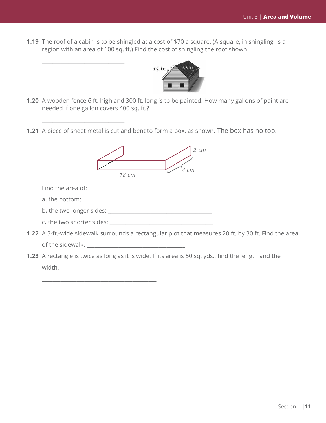**1.19** The roof of a cabin is to be shingled at a cost of \$70 a square. (A square, in shingling, is a region with an area of 100 sq. ft.) Find the cost of shingling the roof shown.



- **1.20** A wooden fence 6 ft. high and 300 ft. long is to be painted. How many gallons of paint are needed if one gallon covers 400 sq. ft.?
- **1.21** A piece of sheet metal is cut and bent to form a box, as shown. The box has no top.



Find the area of:

\_\_\_\_\_\_\_\_\_\_\_\_\_\_\_\_\_\_\_\_\_\_\_\_\_\_\_\_\_\_\_

\_\_\_\_\_\_\_\_\_\_\_\_\_\_\_\_\_\_\_\_\_\_\_\_\_\_\_\_\_\_\_

a**.** the bottom: \_\_\_\_\_\_\_\_\_\_\_\_\_\_\_\_\_\_\_\_\_\_\_\_\_\_\_\_\_\_\_\_\_\_\_\_\_\_\_

b**.** the two longer sides: \_\_\_\_\_\_\_\_\_\_\_\_\_\_\_\_\_\_\_\_\_\_\_\_\_\_\_\_\_\_\_\_\_\_\_\_\_\_\_

c. the two shorter sides:

\_\_\_\_\_\_\_\_\_\_\_\_\_\_\_\_\_\_\_\_\_\_\_\_\_\_\_\_\_\_\_\_\_\_\_\_\_\_\_\_\_\_\_

- **1.22** A 3-ft.-wide sidewalk surrounds a rectangular plot that measures 20 ft. by 30 ft. Find the area of the sidewalk.
- **1.23** A rectangle is twice as long as it is wide. If its area is 50 sq. yds., find the length and the width.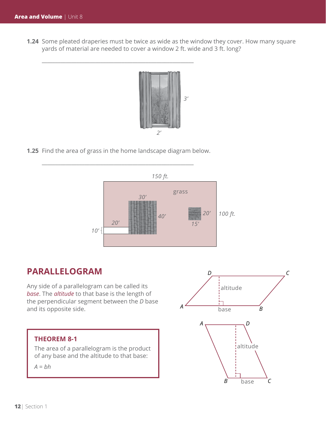**1.24** Some pleated draperies must be twice as wide as the window they cover. How many square yards of material are needed to cover a window 2 ft. wide and 3 ft. long?



**1.25** Find the area of grass in the home landscape diagram below.

\_\_\_\_\_\_\_\_\_\_\_\_\_\_\_\_\_\_\_\_\_\_\_\_\_\_\_\_\_\_\_\_\_\_\_\_\_\_\_\_\_\_\_\_\_\_\_\_\_\_\_\_\_\_\_\_\_

\_\_\_\_\_\_\_\_\_\_\_\_\_\_\_\_\_\_\_\_\_\_\_\_\_\_\_\_\_\_\_\_\_\_\_\_\_\_\_\_\_\_\_\_\_\_\_\_\_\_\_\_\_\_\_\_\_



### **PARALLELOGRAM**

Any side of a parallelogram can be called its *base*. The *altitude* to that base is the length of the perpendicular segment between the *D* base and its opposite side.

#### **THEOREM 8-1**

The area of a parallelogram is the product of any base and the altitude to that base:

*A* = *bh*

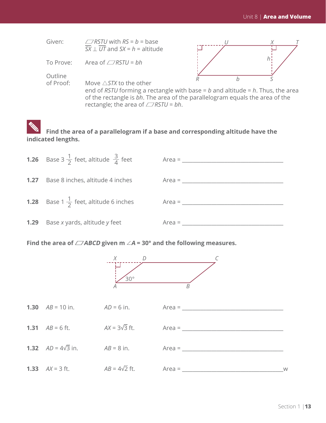| Given:               | $\angle$ RSTU with RS = b = base<br>$\overline{SX} \perp \overline{UT}$ and $SX = h =$ altitude                                                                                                                                                          |  |
|----------------------|----------------------------------------------------------------------------------------------------------------------------------------------------------------------------------------------------------------------------------------------------------|--|
| To Prove:            | Area of $\Box$ RSTU = bh                                                                                                                                                                                                                                 |  |
| Outline<br>of Proof: | Move $\triangle STX$ to the other<br>end of RSTU forming a rectangle with base = b and altitude = h. Thus, the area<br>of the rectangle is bh. The area of the parallelogram equals the area of the<br>rectangle; the area of $\angle$ <i>RSTU</i> = bh. |  |

**Find the area of a parallelogram if a base and corresponding altitude have the indicated lengths.**

| <b>1.26</b> Base 3 $\frac{1}{2}$ feet, altitude $\frac{3}{4}$ feet | Area = $\_\_$   |
|--------------------------------------------------------------------|-----------------|
| <b>1.27</b> Base 8 inches, altitude 4 inches                       | Area = $\qquad$ |
| <b>1.28</b> Base 1 $\frac{1}{2}$ feet, altitude 6 inches           | Area = $\_\_$   |
| <b>1.29</b> Base $x$ yards, altitude $y$ feet                      | $Area =$        |

Find the area of  $\Box$ ABCD given m  $\angle$ A = 30° and the following measures.

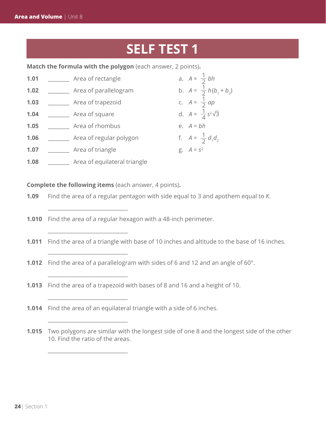# **SELF TEST 1**

**Match the formula with the polygon** (each answer, 2 points)**.**

| 1.01   | Area of rectangle                                  | a. $A = \frac{1}{2}bh$            |
|--------|----------------------------------------------------|-----------------------------------|
| 1.02   | Area of parallelogram                              | b. $A = \frac{1}{2}h(b_1 + b_2)$  |
| 1.03   | Area of trapezoid                                  | c. $A = \frac{1}{2}ap$            |
| 1.04   | Area of square                                     | d. $A = \frac{1}{4} s^2 \sqrt{3}$ |
| 1.05   | Area of rhombus                                    | e. $A = bh$                       |
| 1.06   | Area of regular polygon                            | f. $A = \frac{1}{2} d_1 d_2$      |
| 1.07   | Area of triangle                                   | g. $A = s^2$                      |
| $\sim$ | A common of the most between the basic commonly of |                                   |

**1.08** \_\_\_\_\_\_\_\_ Area of equilateral triangle

\_\_\_\_\_\_\_\_\_\_\_\_\_\_\_\_\_\_\_\_\_\_\_\_\_\_\_\_\_\_

\_\_\_\_\_\_\_\_\_\_\_\_\_\_\_\_\_\_\_\_\_\_\_\_\_\_\_\_\_\_

\_\_\_\_\_\_\_\_\_\_\_\_\_\_\_\_\_\_\_\_\_\_\_\_\_\_\_\_\_\_

\_\_\_\_\_\_\_\_\_\_\_\_\_\_\_\_\_\_\_\_\_\_\_\_\_\_\_\_\_\_

\_\_\_\_\_\_\_\_\_\_\_\_\_\_\_\_\_\_\_\_\_\_\_\_\_\_\_\_\_\_

\_\_\_\_\_\_\_\_\_\_\_\_\_\_\_\_\_\_\_\_\_\_\_\_\_\_\_\_\_\_

\_\_\_\_\_\_\_\_\_\_\_\_\_\_\_\_\_\_\_\_\_\_\_\_\_\_\_\_\_\_

**Complete the following items** (each answer, 4 points)**.**

- **1.09** Find the area of a regular pentagon with side equal to 3 and apothem equal to *K*.
- **1.010** Find the area of a regular hexagon with a 48-inch perimeter.
- **1.011** Find the area of a triangle with base of 10 inches and altitude to the base of 16 inches.
- **1.012** Find the area of a parallelogram with sides of 6 and 12 and an angle of 60°.
- **1.013** Find the area of a trapezoid with bases of 8 and 16 and a height of 10.
- **1.014** Find the area of an equilateral triangle with a side of 6 inches.
- **1.015** Two polygons are similar with the longest side of one 8 and the longest side of the other 10. Find the ratio of the areas.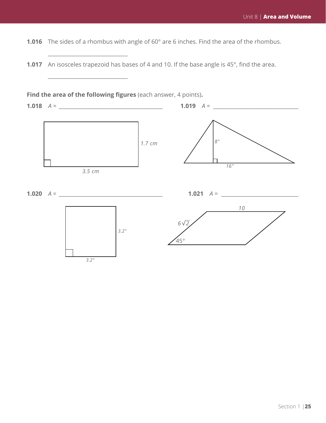**1.016** The sides of a rhombus with angle of 60° are 6 inches. Find the area of the rhombus.

**1.017** An isosceles trapezoid has bases of 4 and 10. If the base angle is 45°, find the area.

\_\_\_\_\_\_\_\_\_\_\_\_\_\_\_\_\_\_\_\_\_\_\_\_\_\_\_\_\_\_

\_\_\_\_\_\_\_\_\_\_\_\_\_\_\_\_\_\_\_\_\_\_\_\_\_\_\_\_\_\_



Section 1 |**25**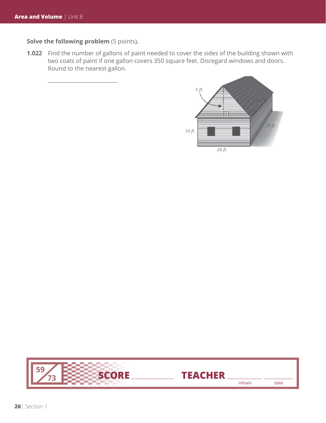#### **Solve the following problem** (5 points)**.**

\_\_\_\_\_\_\_\_\_\_\_\_\_\_\_\_\_\_\_\_\_\_\_\_\_\_

**1.022** Find the number of gallons of paint needed to cover the sides of the building shown with two coats of paint if one gallon covers 350 square feet. Disregard windows and doors. Round to the nearest gallon.